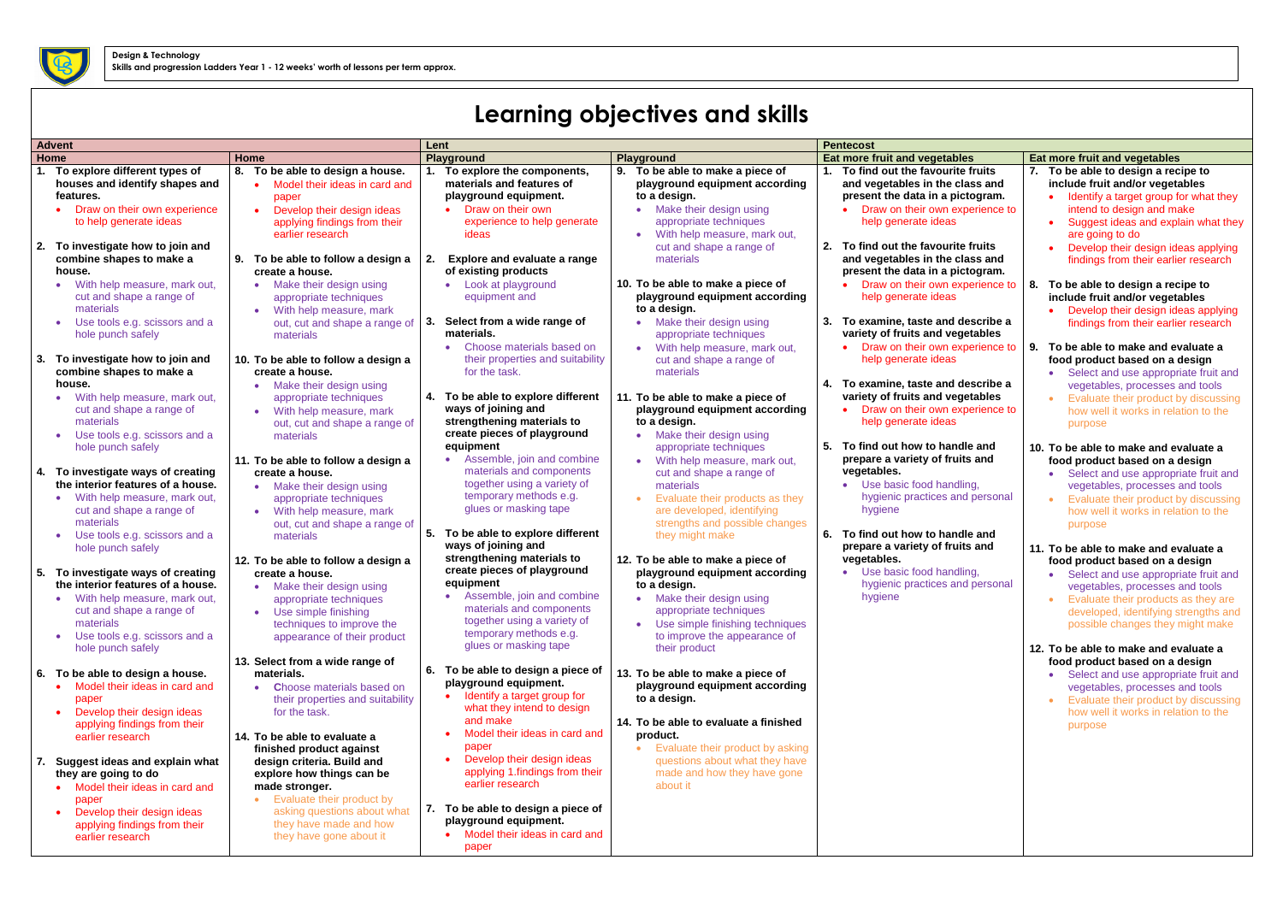## **Learning objectives and skills**

| <b>Advent</b> |                                                                                                                                                                                                                   | Lent                                                                                                                                                                                                                        |                                                                                                                                                                                                                          | <b>Pentecost</b>                                                                                                                                                                                                  |                                                                                                                                                                                                                                                                                    |                                                                                                                                                                                                                         |
|---------------|-------------------------------------------------------------------------------------------------------------------------------------------------------------------------------------------------------------------|-----------------------------------------------------------------------------------------------------------------------------------------------------------------------------------------------------------------------------|--------------------------------------------------------------------------------------------------------------------------------------------------------------------------------------------------------------------------|-------------------------------------------------------------------------------------------------------------------------------------------------------------------------------------------------------------------|------------------------------------------------------------------------------------------------------------------------------------------------------------------------------------------------------------------------------------------------------------------------------------|-------------------------------------------------------------------------------------------------------------------------------------------------------------------------------------------------------------------------|
|               | Home                                                                                                                                                                                                              | Home                                                                                                                                                                                                                        | Playground                                                                                                                                                                                                               | Playground                                                                                                                                                                                                        | Eat more fruit and vegetables                                                                                                                                                                                                                                                      | <b>Eat more fruit and vegetables</b>                                                                                                                                                                                    |
| 1.            | To explore different types of<br>houses and identify shapes and<br>features.<br>Draw on their own experience<br>to help generate ideas<br>2. To investigate how to join and<br>combine shapes to make a<br>house. | To be able to design a house.<br>8.<br>Model their ideas in card and<br>paper<br>Develop their design ideas<br>applying findings from their<br>earlier research<br>To be able to follow a design a<br>create a house.       | 1. To explore the components,<br>materials and features of<br>playground equipment.<br>• Draw on their own<br>experience to help generate<br>ideas<br><b>Explore and evaluate a range</b><br>of existing products        | 9. To be able to make a piece of<br>playground equipment according<br>to a design.<br>Make their design using<br>appropriate techniques<br>With help measure, mark out,<br>cut and shape a range of<br>materials  | To find out the favourite fruits<br>and vegetables in the class and<br>present the data in a pictogram.<br>Draw on their own experience to<br>help generate ideas<br>2.<br>To find out the favourite fruits<br>and vegetables in the class and<br>present the data in a pictogram. | To be able to design a red<br>include fruit and/or veget<br>Identify a target group f<br>intend to design and ma<br>Suggest ideas and expl<br>are going to do<br>Develop their design ide<br>findings from their earlie |
|               | With help measure, mark out,<br>cut and shape a range of<br>materials<br>Use tools e.g. scissors and a<br>hole punch safely                                                                                       | Make their design using<br>appropriate techniques<br>With help measure, mark<br>out, cut and shape a range of<br>materials                                                                                                  | • Look at playground<br>equipment and<br>Select from a wide range of<br>З.<br>materials.<br>• Choose materials based on                                                                                                  | 10. To be able to make a piece of<br>playground equipment according<br>to a design.<br>Make their design using<br>appropriate techniques<br>With help measure, mark out,                                          | • Draw on their own experience to<br>help generate ideas<br>3. To examine, taste and describe a<br>variety of fruits and vegetables<br>• Draw on their own experience to                                                                                                           | 8.<br>To be able to design a red<br>include fruit and/or veget<br>Develop their design ide<br>findings from their earlie<br>9.<br>To be able to make and ev                                                             |
|               | 3. To investigate how to join and<br>combine shapes to make a<br>house.<br>With help measure, mark out,<br>cut and shape a range of<br>materials<br>Use tools e.g. scissors and a<br>hole punch safely            | 10. To be able to follow a design a<br>create a house.<br>Make their design using<br>appropriate techniques<br>With help measure, mark<br>out, cut and shape a range of<br>materials<br>11. To be able to follow a design a | their properties and suitability<br>for the task.<br>4. To be able to explore different<br>ways of joining and<br>strengthening materials to<br>create pieces of playground<br>equipment<br>• Assemble, join and combine | cut and shape a range of<br>materials<br>11. To be able to make a piece of<br>playground equipment according<br>to a design.<br>Make their design using<br>appropriate techniques<br>With help measure, mark out, | help generate ideas<br>4. To examine, taste and describe a<br>variety of fruits and vegetables<br>• Draw on their own experience to<br>help generate ideas<br>5.<br>To find out how to handle and<br>prepare a variety of fruits and                                               | food product based on a<br>• Select and use appropr<br>vegetables, processes<br>Evaluate their product b<br>how well it works in rela<br>purpose<br>10. To be able to make and ev<br>food product based on a            |
|               | 4. To investigate ways of creating<br>the interior features of a house.<br>With help measure, mark out,<br>cut and shape a range of<br>materials<br>Use tools e.g. scissors and a<br>hole punch safely            | create a house.<br>Make their design using<br>appropriate techniques<br>With help measure, mark<br>out, cut and shape a range of<br>materials<br>12. To be able to follow a design a                                        | materials and components<br>together using a variety of<br>temporary methods e.g.<br>glues or masking tape<br>To be able to explore different<br>5.<br>ways of joining and<br>strengthening materials to                 | cut and shape a range of<br>materials<br>Evaluate their products as they<br>are developed, identifying<br>strengths and possible changes<br>they might make<br>12. To be able to make a piece of                  | vegetables.<br>• Use basic food handling,<br>hygienic practices and personal<br>hygiene<br>6. To find out how to handle and<br>prepare a variety of fruits and<br>vegetables.                                                                                                      | Select and use appropr<br>vegetables, processes<br>Evaluate their product b<br>how well it works in rela<br>purpose<br>11. To be able to make and ev<br>food product based on a                                         |
|               | 5. To investigate ways of creating<br>the interior features of a house.<br>With help measure, mark out,<br>cut and shape a range of<br>materials<br>Use tools e.g. scissors and a<br>hole punch safely            | create a house.<br>Make their design using<br>appropriate techniques<br>• Use simple finishing<br>techniques to improve the<br>appearance of their product<br>13. Select from a wide range of                               | create pieces of playground<br>equipment<br>• Assemble, join and combine<br>materials and components<br>together using a variety of<br>temporary methods e.g.<br>glues or masking tape                                   | playground equipment according<br>to a design.<br>Make their design using<br>appropriate techniques<br>Use simple finishing techniques<br>to improve the appearance of<br>their product                           | • Use basic food handling,<br>hygienic practices and personal<br>hygiene                                                                                                                                                                                                           | Select and use appropr<br>vegetables, processes<br><b>Evaluate their products</b><br>developed, identifying s<br>possible changes they<br>12. To be able to make and ev<br>food product based on a                      |
|               | 6. To be able to design a house.<br>Model their ideas in card and<br>paper<br>Develop their design ideas<br>applying findings from their<br>earlier research                                                      | materials.<br><b>Choose materials based on</b><br>their properties and suitability<br>for the task.<br>14. To be able to evaluate a<br>finished product against                                                             | 6. To be able to design a piece of<br>playground equipment.<br>Identify a target group for<br>what they intend to design<br>and make<br>Model their ideas in card and<br>paper                                           | 13. To be able to make a piece of<br>playground equipment according<br>to a design.<br>14. To be able to evaluate a finished<br>product.<br>Evaluate their product by asking<br>$\bullet$                         |                                                                                                                                                                                                                                                                                    | Select and use appropr<br>vegetables, processes<br><b>Evaluate their product b</b><br>$\bullet$<br>how well it works in rela<br>purpose                                                                                 |
|               | 7. Suggest ideas and explain what<br>they are going to do<br>Model their ideas in card and<br>paper<br>Develop their design ideas<br>applying findings from their<br>earlier research                             | design criteria. Build and<br>explore how things can be<br>made stronger.<br>Evaluate their product by<br>asking questions about what<br>they have made and how<br>they have gone about it                                  | Develop their design ideas<br>applying 1.findings from their<br>earlier research<br>7. To be able to design a piece of<br>playground equipment.<br>• Model their ideas in card and<br>paper                              | questions about what they have<br>made and how they have gone<br>about it                                                                                                                                         |                                                                                                                                                                                                                                                                                    |                                                                                                                                                                                                                         |

| S                    | Eat more fruit and vegetables                                             |
|----------------------|---------------------------------------------------------------------------|
| fruits               | To be able to design a recipe to<br>7.                                    |
| <b>iss and</b>       | include fruit and/or vegetables                                           |
| ogram.               | Identify a target group for what they                                     |
| erience to           | intend to design and make                                                 |
|                      |                                                                           |
|                      | Suggest ideas and explain what they<br>$\bullet$                          |
| fruits               | are going to do                                                           |
| <b>iss and</b>       | Develop their design ideas applying                                       |
|                      | findings from their earlier research                                      |
| ogram.<br>erience to |                                                                           |
|                      | 8.<br>To be able to design a recipe to<br>include fruit and/or vegetables |
|                      |                                                                           |
| scribe a             | Develop their design ideas applying                                       |
| <b>tables</b>        | findings from their earlier research                                      |
| erience to           |                                                                           |
|                      | To be able to make and evaluate a<br>9.                                   |
|                      | food product based on a design                                            |
| scribe a             | Select and use appropriate fruit and                                      |
| <b>tables</b>        | vegetables, processes and tools                                           |
|                      | Evaluate their product by discussing<br>$\bullet$                         |
| erience to           | how well it works in relation to the                                      |
|                      | purpose                                                                   |
|                      |                                                                           |
| e and                | 10. To be able to make and evaluate a                                     |
| s and                | food product based on a design                                            |
|                      | Select and use appropriate fruit and<br>$\bullet$                         |
| ١g,                  | vegetables, processes and tools                                           |
| personal             | Evaluate their product by discussing<br>$\bullet$                         |
|                      | how well it works in relation to the                                      |
| e and                | purpose                                                                   |
| s and                |                                                                           |
|                      | 11. To be able to make and evaluate a                                     |
|                      | food product based on a design                                            |
| ١g,                  | Select and use appropriate fruit and                                      |
| personal             | vegetables, processes and tools                                           |
|                      | Evaluate their products as they are                                       |
|                      | developed, identifying strengths and                                      |
|                      | possible changes they might make                                          |
|                      |                                                                           |
|                      | 12. To be able to make and evaluate a                                     |
|                      | food product based on a design                                            |
|                      | Select and use appropriate fruit and                                      |
|                      | vegetables, processes and tools                                           |
|                      | Evaluate their product by discussing                                      |
|                      | how well it works in relation to the                                      |
|                      | purpose                                                                   |
|                      |                                                                           |
|                      |                                                                           |
|                      |                                                                           |
|                      |                                                                           |
|                      |                                                                           |
|                      |                                                                           |
|                      |                                                                           |
|                      |                                                                           |
|                      |                                                                           |

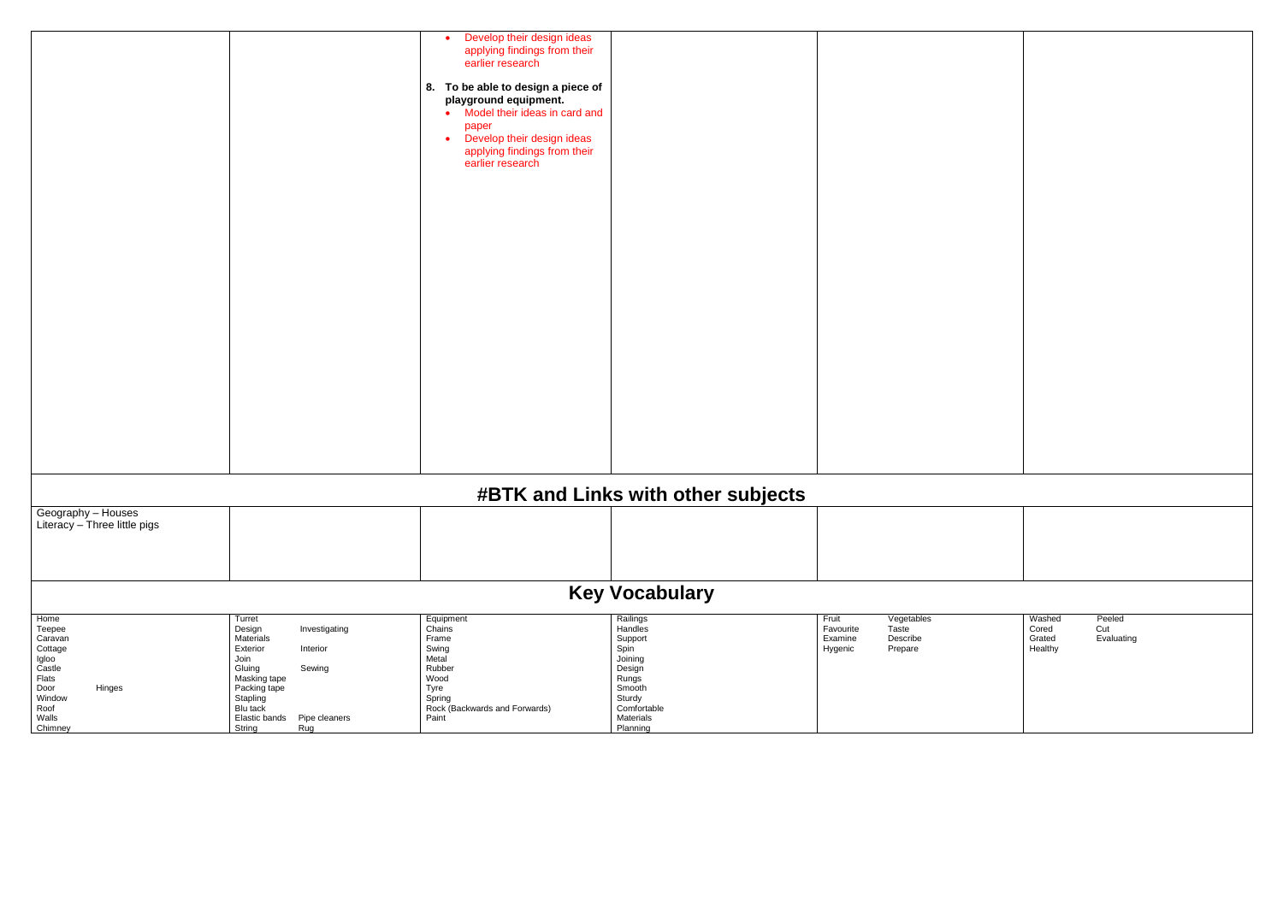|                                                                                                                          |                                                                                                                                                                                                             | Develop their design ideas<br>applying findings from their<br>earlier research<br>8. To be able to design a piece of<br>playground equipment.<br>Model their ideas in card and<br>$\bullet$<br>paper<br>Develop their design ideas<br>$\bullet$<br>applying findings from their<br>earlier research |                                                                                                                                  |                                                                                        |                                                                     |  |
|--------------------------------------------------------------------------------------------------------------------------|-------------------------------------------------------------------------------------------------------------------------------------------------------------------------------------------------------------|-----------------------------------------------------------------------------------------------------------------------------------------------------------------------------------------------------------------------------------------------------------------------------------------------------|----------------------------------------------------------------------------------------------------------------------------------|----------------------------------------------------------------------------------------|---------------------------------------------------------------------|--|
|                                                                                                                          |                                                                                                                                                                                                             |                                                                                                                                                                                                                                                                                                     |                                                                                                                                  |                                                                                        |                                                                     |  |
|                                                                                                                          |                                                                                                                                                                                                             |                                                                                                                                                                                                                                                                                                     |                                                                                                                                  |                                                                                        |                                                                     |  |
| #BTK and Links with other subjects                                                                                       |                                                                                                                                                                                                             |                                                                                                                                                                                                                                                                                                     |                                                                                                                                  |                                                                                        |                                                                     |  |
| Geography - Houses<br>Literacy - Three little pigs                                                                       |                                                                                                                                                                                                             |                                                                                                                                                                                                                                                                                                     |                                                                                                                                  |                                                                                        |                                                                     |  |
| <b>Key Vocabulary</b>                                                                                                    |                                                                                                                                                                                                             |                                                                                                                                                                                                                                                                                                     |                                                                                                                                  |                                                                                        |                                                                     |  |
| Home<br>Teepee<br>Caravan<br>Cottage<br>Igloo<br>Castle<br>Flats<br>Door<br>Hinges<br>Window<br>Roof<br>Walls<br>Chimney | Turret<br>Design<br>Investigating<br>Materials<br>Exterior<br>Interior<br>Join<br>Gluing<br>Sewing<br>Masking tape<br>Packing tape<br>Stapling<br>Blu tack<br>Elastic bands  Pipe cleaners<br>String<br>Rug | Equipment<br>Chains<br>Frame<br>Swing<br>Metal<br>Rubber<br>Wood<br>Tyre<br>Spring<br>Rock (Backwards and Forwards)<br>Paint                                                                                                                                                                        | Railings<br>Handles<br>Support<br>Spin<br>Joining<br>Design<br>Rungs<br>Smooth<br>Sturdy<br>Comfortable<br>Materials<br>Planning | Fruit<br>Vegetables<br>Favourite<br>Taste<br>Examine<br>Describe<br>Prepare<br>Hygenic | Washed<br>Peeled<br>Cut<br>Cored<br>Evaluating<br>Grated<br>Healthy |  |